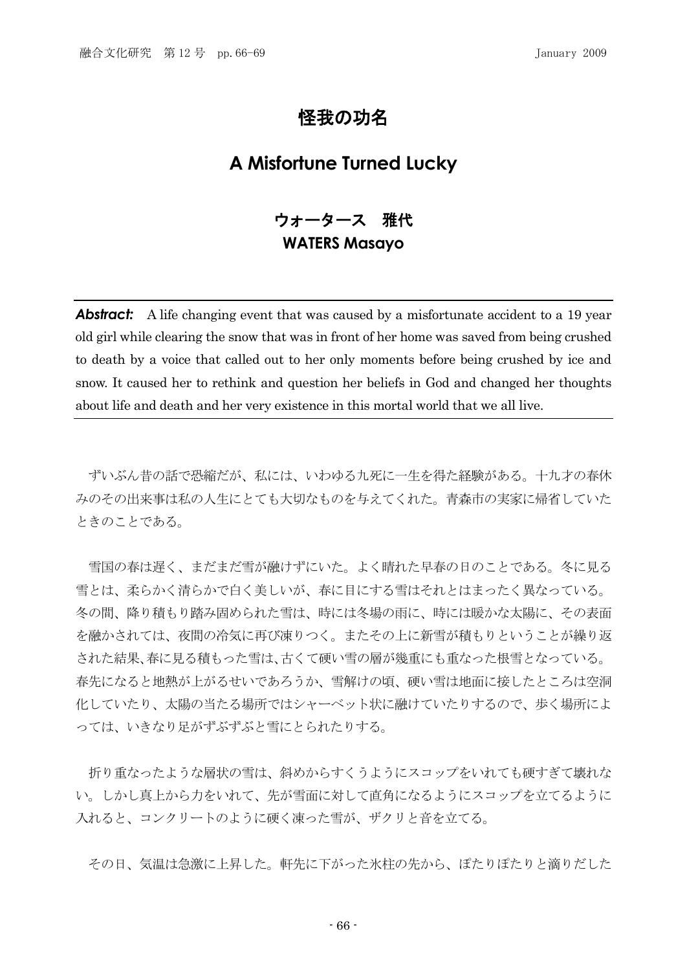## 怪我の功名

## **A Misfortune Turned Lucky**

## ウォータース 雅代 **WATERS Masayo**

**Abstract:** A life changing event that was caused by a misfortunate accident to a 19 year old girl while clearing the snow that was in front of her home was saved from being crushed to death by a voice that called out to her only moments before being crushed by ice and snow. It caused her to rethink and question her beliefs in God and changed her thoughts about life and death and her very existence in this mortal world that we all live.

ずいぶん昔の話で恐縮だが、私には、いわゆる九死に一生を得た経験がある。十九才の春休 みのその出来事は私の人生にとても大切なものを与えてくれた。青森市の実家に帰省していた ときのことである。

雪国の春は遅く、まだまだ雪が融けずにいた。よく晴れた早春の日のことである。冬に見る 雪とは、柔らかく清らかで白く美しいが、春に目にする雪はそれとはまったく異なっている。 冬の間、降り積もり踏み固められた雪は、時には冬場の雨に、時には暖かな太陽に、その表面 を融かされては、夜間の冷気に再び凍りつく。またその上に新雪が積もりということが繰り返 された結果、春に見る積もった雪は、古くて硬い雪の層が幾重にも重なった根雪となっている。 春先になると地熱が上がるせいであろうか、雪解けの頃、硬い雪は地面に接したところは空洞 化していたり、太陽の当たる場所ではシャーベット状に融けていたりするので、歩く場所によ っては、いきなり足がずぶずぶと雪にとられたりする。

折り重なったような層状の雪は、斜めからすくうようにスコップをいれても硬すぎて壊れな い。しかし真上から力をいれて、先が雪面に対して直角になるようにスコップを立てるように 入れると、コンクリートのように硬く凍った雪が、ザクリと音を立てる。

その日、気温は急激に上昇した。軒先に下がった氷柱の先から、ぽたりぽたりと滴りだした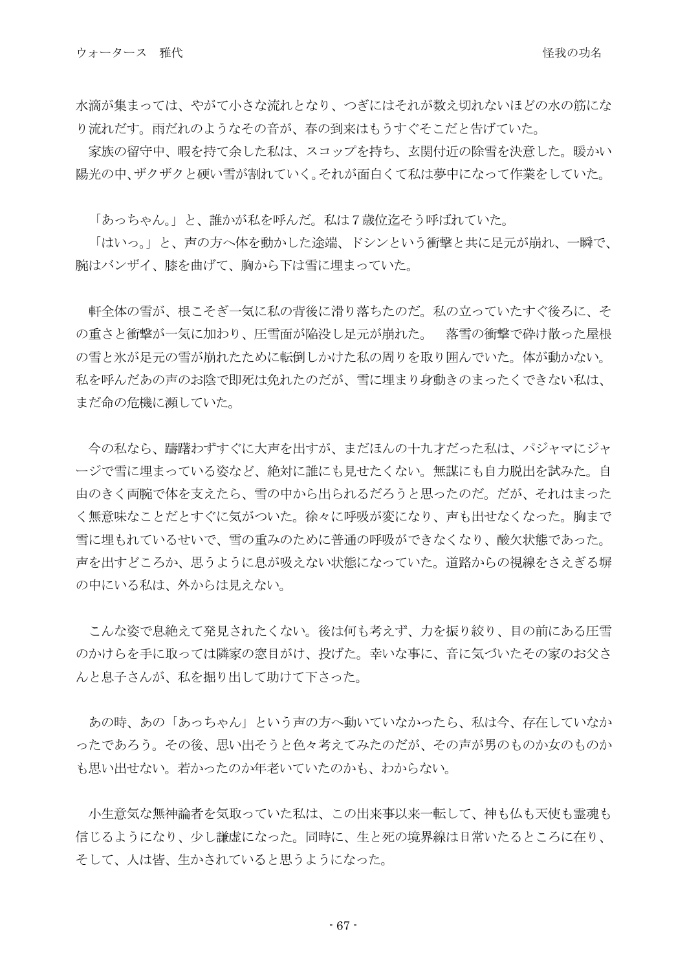水滴が集まっては、やがて小さな流れとなり、つぎにはそれが数え切れないほどの水の筋にな り流れだす。雨だれのようなその音が、春の到来はもうすぐそこだと告げていた。

家族の留守中、暇を持て余した私は、スコップを持ち、玄関付近の除雪を決意した。暖かい 陽光の中、ザクザクと硬い雪が割れていく。それが面白くて私は夢中になって作業をしていた。

「あっちゃん。」と、誰かが私を呼んだ。私は7歳位迄そう呼ばれていた。

「はいっ。」と、声の方へ体を動かした途端、ドシンという衝撃と共に足元が崩れ、一瞬で、 腕はバンザイ、膝を曲げて、胸から下は雪に埋まっていた。

軒全体の雪が、根こそぎ一気に私の背後に滑り落ちたのだ。私の立っていたすぐ後ろに、そ の重さと衝撃が一気に加わり、圧雪面が陥没し足元が崩れた。 落雪の衝撃で砕け散った屋根 の雪と氷が足元の雪が崩れたために転倒しかけた私の周りを取り囲んでいた。体が動かない。 私を呼んだあの声のお陰で即死は免れたのだが、雪に埋まり身動きのまったくできない私は、 まだ命の危機に瀕していた。

今の私なら、躊躇わずすぐに大声を出すが、まだほんの十九才だった私は、パジャマにジャ ージで雪に埋まっている姿など、絶対に誰にも見せたくない。無謀にも自力脱出を試みた。自 由のきく両腕で体を支えたら、雪の中から出られるだろうと思ったのだ。だが、それはまった く無意味なことだとすぐに気がついた。徐々に呼吸が変になり、声も出せなくなった。胸まで 雪に埋もれているせいで、雪の重みのために普通の呼吸ができなくなり、酸欠状態であった。 声を出すどころか、思うように息が吸えない状態になっていた。道路からの視線をさえぎる塀 の中にいる私は、外からは見えない。

こんな姿で息絶えて発見されたくない。後は何も考えず、力を振り絞り、目の前にある圧雪 のかけらを手に取っては隣家の窓目がけ、投げた。幸いな事に、音に気づいたその家のお父さ んと息子さんが、私を掘り出して助けて下さった。

あの時、あの「あっちゃん」という声の方へ動いていなかったら、私は今、存在していなか ったであろう。その後、思い出そうと色々考えてみたのだが、その声が男のものか女のものか も思い出せない。若かったのか年老いていたのかも、わからない。

小生意気な無神論者を気取っていた私は、この出来事以来一転して、神も仏も天使も霊魂も 信じるようになり、少し謙虚になった。同時に、生と死の境界線は日常いたるところに在り、 そして、人は皆、生かされていると思うようになった。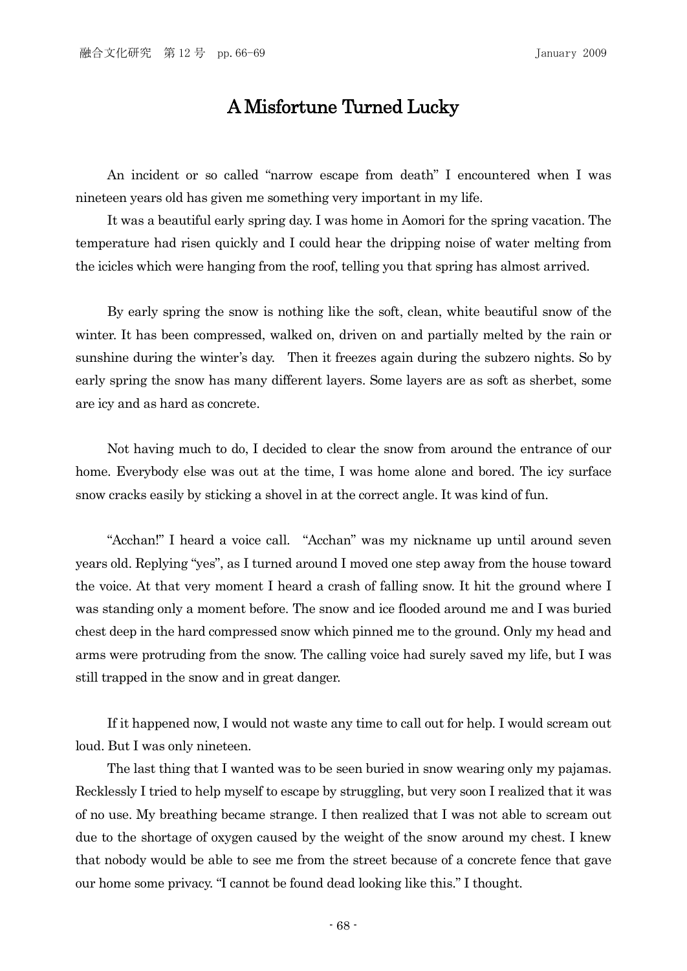## A Misfortune Turned Lucky

An incident or so called "narrow escape from death" I encountered when I was nineteen years old has given me something very important in my life.

It was a beautiful early spring day. I was home in Aomori for the spring vacation. The temperature had risen quickly and I could hear the dripping noise of water melting from the icicles which were hanging from the roof, telling you that spring has almost arrived.

By early spring the snow is nothing like the soft, clean, white beautiful snow of the winter. It has been compressed, walked on, driven on and partially melted by the rain or sunshine during the winter's day. Then it freezes again during the subzero nights. So by early spring the snow has many different layers. Some layers are as soft as sherbet, some are icy and as hard as concrete.

Not having much to do, I decided to clear the snow from around the entrance of our home. Everybody else was out at the time, I was home alone and bored. The icy surface snow cracks easily by sticking a shovel in at the correct angle. It was kind of fun.

"Acchan!" I heard a voice call. "Acchan" was my nickname up until around seven years old. Replying "yes", as I turned around I moved one step away from the house toward the voice. At that very moment I heard a crash of falling snow. It hit the ground where I was standing only a moment before. The snow and ice flooded around me and I was buried chest deep in the hard compressed snow which pinned me to the ground. Only my head and arms were protruding from the snow. The calling voice had surely saved my life, but I was still trapped in the snow and in great danger.

If it happened now, I would not waste any time to call out for help. I would scream out loud. But I was only nineteen.

The last thing that I wanted was to be seen buried in snow wearing only my pajamas. Recklessly I tried to help myself to escape by struggling, but very soon I realized that it was of no use. My breathing became strange. I then realized that I was not able to scream out due to the shortage of oxygen caused by the weight of the snow around my chest. I knew that nobody would be able to see me from the street because of a concrete fence that gave our home some privacy. "I cannot be found dead looking like this." I thought.